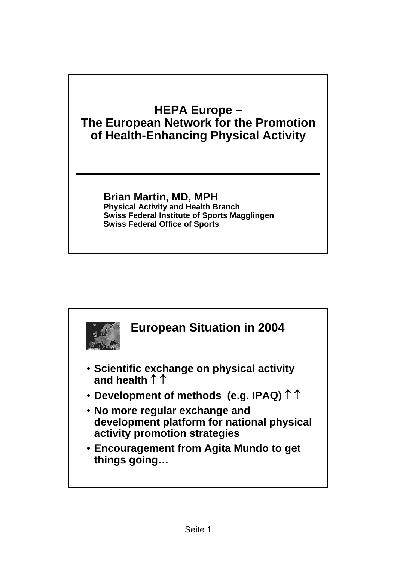### **HEPA Europe – The European Network for the Promotion of Health-Enhancing Physical Activity**

#### **Brian Martin, MD, MPH Physical Activity and Health Branch Swiss Federal Institute of Sports Magglingen Swiss Federal Office of Sports**

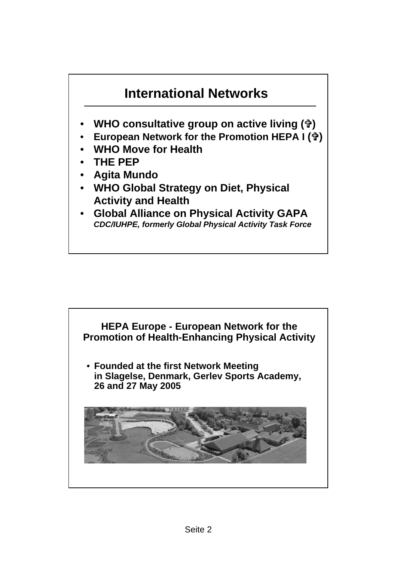

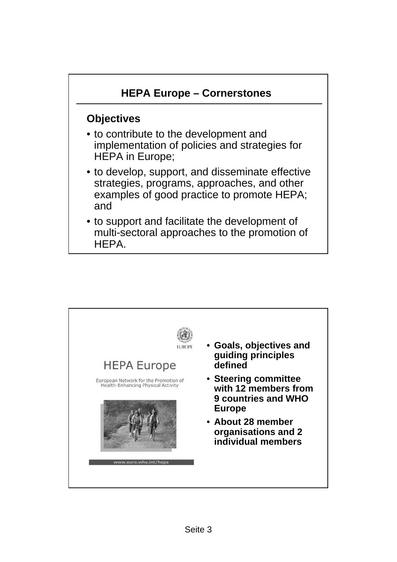

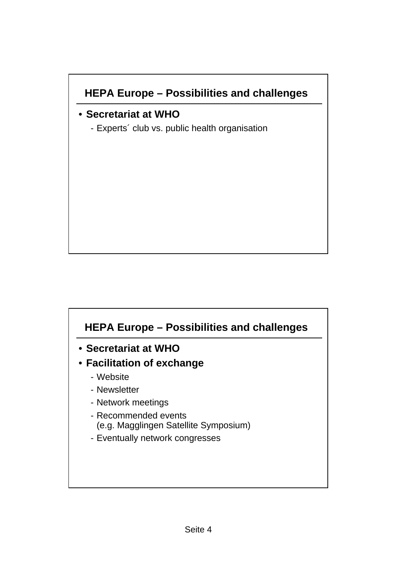### **HEPA Europe – Possibilities and challenges**

- **Secretariat at WHO**
	- Experts´ club vs. public health organisation

## **HEPA Europe – Possibilities and challenges** • **Secretariat at WHO** • **Facilitation of exchange** - Website - Newsletter - Network meetings - Recommended events (e.g. Magglingen Satellite Symposium) - Eventually network congresses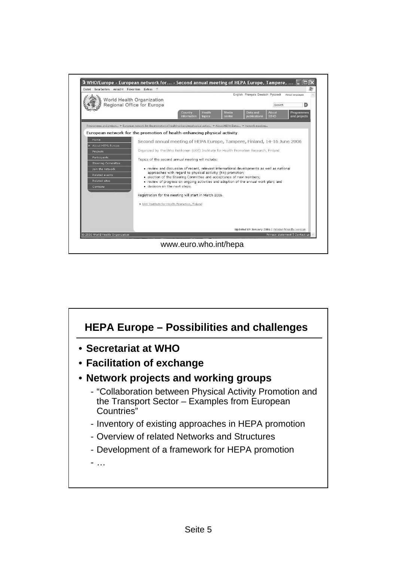

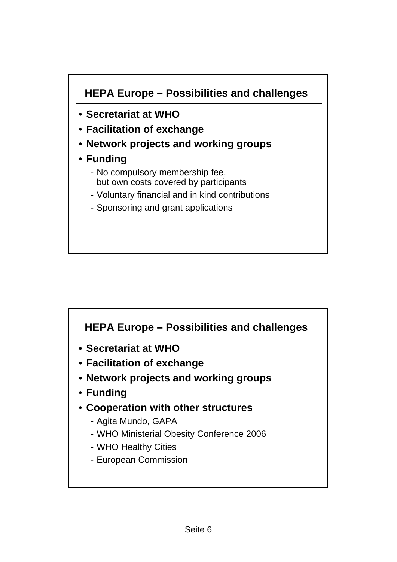### **HEPA Europe – Possibilities and challenges**

- **Secretariat at WHO**
- **Facilitation of exchange**
- **Network projects and working groups**
- **Funding**
	- No compulsory membership fee, but own costs covered by participants
	- Voluntary financial and in kind contributions
	- Sponsoring and grant applications

# **HEPA Europe – Possibilities and challenges**

- **Secretariat at WHO**
- **Facilitation of exchange**
- **Network projects and working groups**
- **Funding**
- **Cooperation with other structures**
	- Agita Mundo, GAPA
	- WHO Ministerial Obesity Conference 2006
	- WHO Healthy Cities
	- European Commission